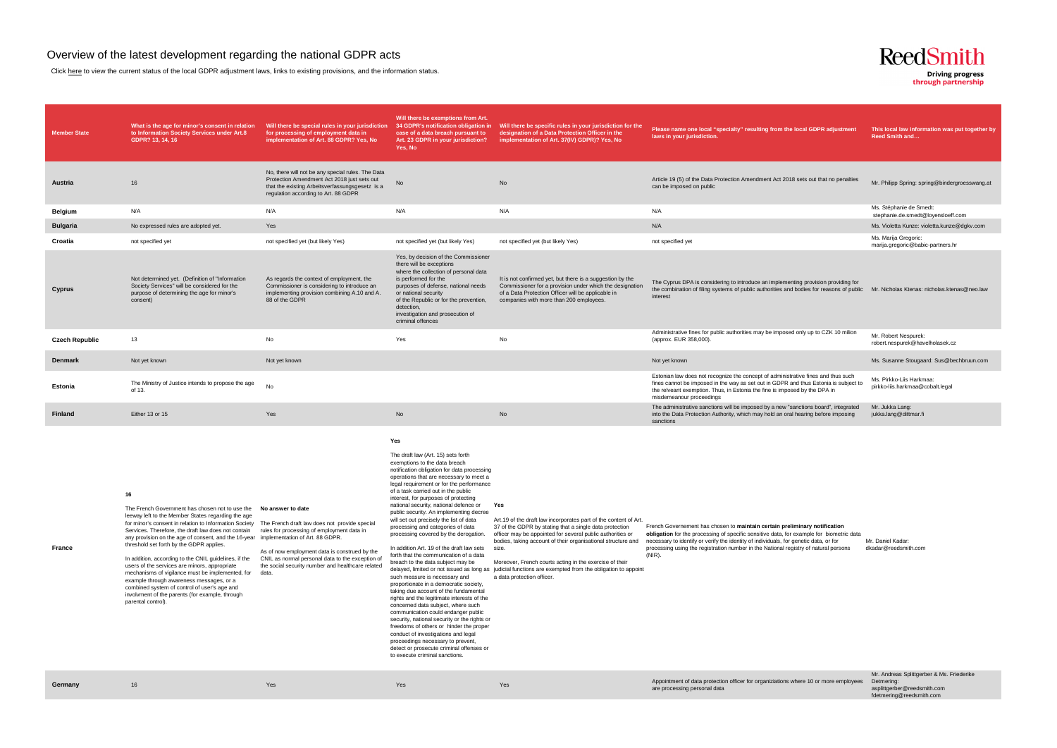## Overview of the latest development regarding the national GDPR acts

Click here to view the current status of the local GDPR adjustment laws, links to existing provisions, and the information status.

| <b>Member State</b>   | What is the age for minor's consent in relation<br>to Information Society Services under Art.8<br>GDPR? 13, 14, 16                                                                                                                                                                                                                                                                                                                                                                                                                                                                                                                                                                                                                                                  | Will there be special rules in your jurisdiction<br>for processing of employment data in<br>implementation of Art. 88 GDPR? Yes, No                                                                           | Will there be exemptions from Art.<br>34 GDPR's notification obligation in<br>case of a data breach pursuant to<br>Art. 23 GDPR in your jurisdiction?<br>Yes, No                                                                                                                                                                                                                                                                                                                                                                                                                                                                                                                                                                                                                                                                                                                                                                                                                                                                                                                                                                              | Will there be specific rules in your jurisdiction for the<br>designation of a Data Protection Officer in the<br>implementation of Art. 37(IV) GDPR)? Yes, No                                                                                                                                                                                                                                                                                                                   | Please name one local "specialty" resulting from the local GDPR adjustment<br>laws in your jurisdiction.                                                                                                                                                                                                                                                             | This local law information was put together by<br><b>Reed Smith and</b> |
|-----------------------|---------------------------------------------------------------------------------------------------------------------------------------------------------------------------------------------------------------------------------------------------------------------------------------------------------------------------------------------------------------------------------------------------------------------------------------------------------------------------------------------------------------------------------------------------------------------------------------------------------------------------------------------------------------------------------------------------------------------------------------------------------------------|---------------------------------------------------------------------------------------------------------------------------------------------------------------------------------------------------------------|-----------------------------------------------------------------------------------------------------------------------------------------------------------------------------------------------------------------------------------------------------------------------------------------------------------------------------------------------------------------------------------------------------------------------------------------------------------------------------------------------------------------------------------------------------------------------------------------------------------------------------------------------------------------------------------------------------------------------------------------------------------------------------------------------------------------------------------------------------------------------------------------------------------------------------------------------------------------------------------------------------------------------------------------------------------------------------------------------------------------------------------------------|--------------------------------------------------------------------------------------------------------------------------------------------------------------------------------------------------------------------------------------------------------------------------------------------------------------------------------------------------------------------------------------------------------------------------------------------------------------------------------|----------------------------------------------------------------------------------------------------------------------------------------------------------------------------------------------------------------------------------------------------------------------------------------------------------------------------------------------------------------------|-------------------------------------------------------------------------|
| Austria               | 16                                                                                                                                                                                                                                                                                                                                                                                                                                                                                                                                                                                                                                                                                                                                                                  | No, there will not be any special rules. The Data<br>Protection Amendment Act 2018 just sets out<br>that the existing Arbeitsverfassungsgesetz is a<br>regulation according to Art. 88 GDPR                   | No                                                                                                                                                                                                                                                                                                                                                                                                                                                                                                                                                                                                                                                                                                                                                                                                                                                                                                                                                                                                                                                                                                                                            | <b>No</b>                                                                                                                                                                                                                                                                                                                                                                                                                                                                      | Article 19 (5) of the Data Protection Amendment Act 2018 sets out that no penalties<br>can be imposed on public                                                                                                                                                                                                                                                      | Mr. Philipp Spring: spring@bindergroesswang.at                          |
| <b>Belgium</b>        | N/A                                                                                                                                                                                                                                                                                                                                                                                                                                                                                                                                                                                                                                                                                                                                                                 | N/A                                                                                                                                                                                                           | N/A                                                                                                                                                                                                                                                                                                                                                                                                                                                                                                                                                                                                                                                                                                                                                                                                                                                                                                                                                                                                                                                                                                                                           | N/A                                                                                                                                                                                                                                                                                                                                                                                                                                                                            | N/A                                                                                                                                                                                                                                                                                                                                                                  | Ms. Stéphanie de Smedt:<br>stephanie.de.smedt@loyensloeff.com           |
| <b>Bulgaria</b>       | No expressed rules are adopted yet.                                                                                                                                                                                                                                                                                                                                                                                                                                                                                                                                                                                                                                                                                                                                 | Yes                                                                                                                                                                                                           |                                                                                                                                                                                                                                                                                                                                                                                                                                                                                                                                                                                                                                                                                                                                                                                                                                                                                                                                                                                                                                                                                                                                               |                                                                                                                                                                                                                                                                                                                                                                                                                                                                                | N/A                                                                                                                                                                                                                                                                                                                                                                  | Ms. Violetta Kunze: violetta.kunze@dgkv.com                             |
| Croatia               | not specified yet                                                                                                                                                                                                                                                                                                                                                                                                                                                                                                                                                                                                                                                                                                                                                   | not specified yet (but likely Yes)                                                                                                                                                                            | not specified yet (but likely Yes)                                                                                                                                                                                                                                                                                                                                                                                                                                                                                                                                                                                                                                                                                                                                                                                                                                                                                                                                                                                                                                                                                                            | not specified yet (but likely Yes)                                                                                                                                                                                                                                                                                                                                                                                                                                             | not specified yet                                                                                                                                                                                                                                                                                                                                                    | Ms. Marija Gregoric:<br>marija.gregoric@babic-partners.hr               |
| Cyprus                | Not determined yet. (Definition of "Information<br>Society Services" will be considered for the<br>purpose of determining the age for minor's<br>consent)                                                                                                                                                                                                                                                                                                                                                                                                                                                                                                                                                                                                           | As regards the context of employment, the<br>Commissioner is considering to introduce an<br>implementing provision combining A.10 and A.<br>88 of the GDPR                                                    | Yes, by decision of the Commissioner<br>there will be exceptions<br>where the collection of personal data<br>is performed for the<br>purposes of defense, national needs<br>or national security<br>of the Republic or for the prevention,<br>detection,<br>investigation and prosecution of<br>criminal offences                                                                                                                                                                                                                                                                                                                                                                                                                                                                                                                                                                                                                                                                                                                                                                                                                             | It is not confirmed yet, but there is a suggestion by the<br>Commissioner for a provision under which the designation<br>of a Data Protection Officer will be applicable in<br>companies with more than 200 employees.                                                                                                                                                                                                                                                         | The Cyprus DPA is considering to introduce an implementing provision providing for<br>the combination of filing systems of public authorities and bodies for reasons of public Mr. Nicholas Ktenas: nicholas.ktenas@neo.law<br>interest                                                                                                                              |                                                                         |
| <b>Czech Republic</b> | 13                                                                                                                                                                                                                                                                                                                                                                                                                                                                                                                                                                                                                                                                                                                                                                  | No                                                                                                                                                                                                            | Yes                                                                                                                                                                                                                                                                                                                                                                                                                                                                                                                                                                                                                                                                                                                                                                                                                                                                                                                                                                                                                                                                                                                                           | No                                                                                                                                                                                                                                                                                                                                                                                                                                                                             | Administrative fines for public authorities may be imposed only up to CZK 10 milion<br>(approx. EUR 358,000).                                                                                                                                                                                                                                                        | Mr. Robert Nespurek:<br>robert.nespurek@havelholasek.cz                 |
| <b>Denmark</b>        | Not yet known                                                                                                                                                                                                                                                                                                                                                                                                                                                                                                                                                                                                                                                                                                                                                       | Not yet known                                                                                                                                                                                                 |                                                                                                                                                                                                                                                                                                                                                                                                                                                                                                                                                                                                                                                                                                                                                                                                                                                                                                                                                                                                                                                                                                                                               |                                                                                                                                                                                                                                                                                                                                                                                                                                                                                | Not yet known                                                                                                                                                                                                                                                                                                                                                        | Ms. Susanne Stougaard: Sus@bechbruun.com                                |
| Estonia               | The Ministry of Justice intends to propose the age<br>of 13.                                                                                                                                                                                                                                                                                                                                                                                                                                                                                                                                                                                                                                                                                                        | <b>No</b>                                                                                                                                                                                                     |                                                                                                                                                                                                                                                                                                                                                                                                                                                                                                                                                                                                                                                                                                                                                                                                                                                                                                                                                                                                                                                                                                                                               |                                                                                                                                                                                                                                                                                                                                                                                                                                                                                | Estonian law does not recognize the concept of administrative fines and thus such<br>fines cannot be imposed in the way as set out in GDPR and thus Estonia is subject to<br>the relveant exemption. Thus, in Estonia the fine is imposed by the DPA in<br>misdemeanour proceedings                                                                                  | Ms. Pirkko-Liis Harkmaa:<br>pirkko-liis.harkmaa@cobalt.legal            |
| Finland               | Either 13 or 15                                                                                                                                                                                                                                                                                                                                                                                                                                                                                                                                                                                                                                                                                                                                                     | Yes                                                                                                                                                                                                           | No                                                                                                                                                                                                                                                                                                                                                                                                                                                                                                                                                                                                                                                                                                                                                                                                                                                                                                                                                                                                                                                                                                                                            | No                                                                                                                                                                                                                                                                                                                                                                                                                                                                             | The administrative sanctions will be imposed by a new "sanctions board", integrated<br>into the Data Protection Authority, which may hold an oral hearing before imposing<br>sanctions                                                                                                                                                                               | Mr. Jukka Lang:<br>jukka.lang@dittmar.fi                                |
| France                | 16<br>The French Government has chosen not to use the No answer to date<br>leeway left to the Member States regarding the age<br>for minor's consent in relation to Information Society The French draft law does not provide special<br>Services. Therefore, the draft law does not contain<br>any provision on the age of consent, and the 16-year implementation of Art. 88 GDPR.<br>threshold set forth by the GDPR applies.<br>In addition, according to the CNIL guidelines, if the<br>users of the services are minors, appropriate<br>mechanisms of vigilance must be implemented, for<br>example through awareness messages, or a<br>combined system of control of user's age and<br>involvment of the parents (for example, through<br>parental control). | rules for processing of employment data in<br>As of now employment data is construed by the<br>CNIL as normal personal data to the exception of<br>the social security number and healthcare related<br>data. | Yes<br>The draft law (Art. 15) sets forth<br>exemptions to the data breach<br>notification obligation for data processing<br>operations that are necessary to meet a<br>legal requirement or for the performance<br>of a task carried out in the public<br>interest, for purposes of protecting<br>national security, national defence or<br>public security. An implementing decree<br>will set out precisely the list of data<br>processing and categories of data<br>processing covered by the derogation.<br>In addition Art. 19 of the draft law sets<br>forth that the communication of a data<br>breach to the data subject may be<br>such measure is necessary and<br>proportionate in a democratic society,<br>taking due account of the fundamental<br>rights and the legitimate interests of the<br>concerned data subject, where such<br>communication could endanger public<br>security, national security or the rights or<br>freedoms of others or hinder the proper<br>conduct of investigations and legal<br>proceedings necessary to prevent,<br>detect or prosecute criminal offenses or<br>to execute criminal sanctions. | Yes<br>Art.19 of the draft law incorporates part of the content of Art.<br>37 of the GDPR by stating that a single data protection<br>officer may be appointed for several public authorities or<br>bodies, taking account of their organisational structure and<br>size.<br>Moreover, French courts acting in the exercise of their<br>delayed, limited or not issued as long as judicial functions are exempted from the obligation to appoint<br>a data protection officer. | French Governement has chosen to maintain certain preliminary notification<br>obligation for the processing of specific sensitive data, for example for biometric data<br>necessary to identify or verify the identity of individuals, for genetic data, or for<br>processing using the registration number in the National registry of natural persons<br>$(NIR)$ . | Mr. Daniel Kadar:<br>dkadar@reedsmith.com                               |



through partnership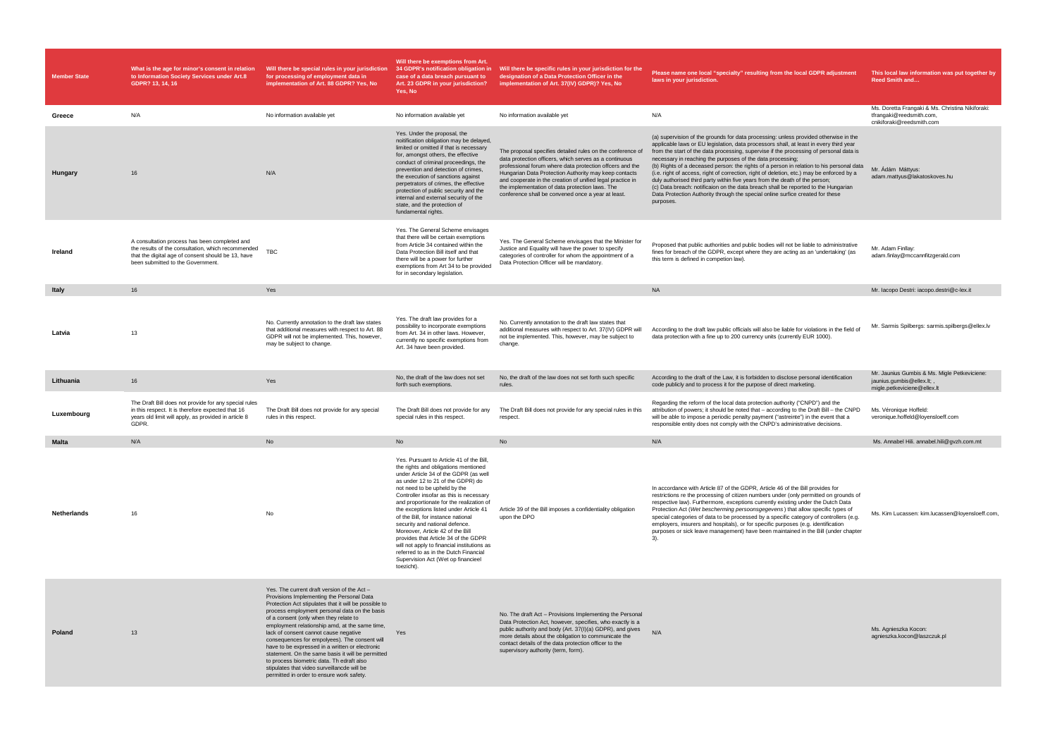| <b>Member State</b> | What is the age for minor's consent in relation<br>to Information Society Services under Art.8<br>GDPR? 13, 14, 16                                                                             | Will there be special rules in your jurisdiction<br>for processing of employment data in<br>implementation of Art. 88 GDPR? Yes, No                                                                                                                                                                                                                                                                                                                                                                                                                                                                                                       | Will there be exemptions from Art.<br>34 GDPR's notification obligation in<br>case of a data breach pursuant to<br>Art. 23 GDPR in your jurisdiction?<br>Yes, No                                                                                                                                                                                                                                                                                                                                                                                                                                                                | Will there be specific rules in your jurisdiction for the<br>designation of a Data Protection Officer in the<br>implementation of Art. 37(IV) GDPR)? Yes, No                                                                                                                                                                                                                                                     | Please name one local "specialty" resulting from the local GDPR adjustment<br>laws in your jurisdiction.                                                                                                                                                                                                                                                                                                                                                                                                                                                                                                                                                                                                                                                                                            | This local law information was put together by<br><b>Reed Smith and</b>                                   |
|---------------------|------------------------------------------------------------------------------------------------------------------------------------------------------------------------------------------------|-------------------------------------------------------------------------------------------------------------------------------------------------------------------------------------------------------------------------------------------------------------------------------------------------------------------------------------------------------------------------------------------------------------------------------------------------------------------------------------------------------------------------------------------------------------------------------------------------------------------------------------------|---------------------------------------------------------------------------------------------------------------------------------------------------------------------------------------------------------------------------------------------------------------------------------------------------------------------------------------------------------------------------------------------------------------------------------------------------------------------------------------------------------------------------------------------------------------------------------------------------------------------------------|------------------------------------------------------------------------------------------------------------------------------------------------------------------------------------------------------------------------------------------------------------------------------------------------------------------------------------------------------------------------------------------------------------------|-----------------------------------------------------------------------------------------------------------------------------------------------------------------------------------------------------------------------------------------------------------------------------------------------------------------------------------------------------------------------------------------------------------------------------------------------------------------------------------------------------------------------------------------------------------------------------------------------------------------------------------------------------------------------------------------------------------------------------------------------------------------------------------------------------|-----------------------------------------------------------------------------------------------------------|
| Greece              | N/A                                                                                                                                                                                            | No information available yet                                                                                                                                                                                                                                                                                                                                                                                                                                                                                                                                                                                                              | No information available yet                                                                                                                                                                                                                                                                                                                                                                                                                                                                                                                                                                                                    | No information available yet                                                                                                                                                                                                                                                                                                                                                                                     | N/A                                                                                                                                                                                                                                                                                                                                                                                                                                                                                                                                                                                                                                                                                                                                                                                                 | Ms. Doretta Frangaki & Ms. Christina Nikiforaki:<br>tfrangaki@reedsmith.com,<br>cnikiforaki@reedsmith.com |
| Hungary             | 16                                                                                                                                                                                             | N/A                                                                                                                                                                                                                                                                                                                                                                                                                                                                                                                                                                                                                                       | Yes. Under the proposal, the<br>noitification obligation may be delayed,<br>limited or omitted if that is necessary<br>for, amongst others, the effective<br>conduct of criminal proceedings, the<br>prevention and detection of crimes,<br>the execution of sanctions against<br>perpetrators of crimes, the effective<br>protection of public security and the<br>internal and external security of the<br>state, and the protection of<br>fundamental rights.                                                                                                                                                                | The proposal specifies detailed rules on the conference of<br>data protection officers, which serves as a continuous<br>professional forum where data protection offcers and the<br>Hungarian Data Protection Authority may keep contacts<br>and cooperate in the creation of unified legal practice in<br>the implementation of data protection laws. The<br>conference shall be convened once a year at least. | (a) supervision of the grounds for data processing: unless provided otherwise in the<br>applicable laws or EU legislation, data processors shall, at least in every third year<br>from the start of the data processing, supervise if the processing of personal data is<br>necessary in reaching the purposes of the data processing;<br>(b) Rights of a deceased person: the rights of a person in relation to his personal data<br>(i.e. right of access, right of correction, right of deletion, etc.) may be enforced by a<br>duly authorised third party within five years from the death of the person;<br>(c) Data breach: notificaion on the data breach shall be reported to the Hungarian<br>Data Protection Authority through the special online surfice created for these<br>purposes. | Mr. Ádám Máttyus:<br>adam.mattyus@lakatoskoves.hu                                                         |
| Ireland             | A consultation process has been completed and<br>the results of the consultation, which recommended<br>that the digital age of consent should be 13, have<br>been submitted to the Government. | TBC                                                                                                                                                                                                                                                                                                                                                                                                                                                                                                                                                                                                                                       | Yes. The General Scheme envisages<br>that there will be certain exemptions<br>from Article 34 contained within the<br>Data Protection Bill itself and that<br>there will be a power for further<br>exemptions from Art 34 to be provided<br>for in secondary legislation.                                                                                                                                                                                                                                                                                                                                                       | Yes. The General Scheme envisages that the Minister for<br>Justice and Equality will have the power to specify<br>categories of controller for whom the appointment of a<br>Data Protection Officer will be mandatory.                                                                                                                                                                                           | Proposed that public authorities and public bodies will not be liable to administrative<br>fines for breach of the GDPR, except where they are acting as an 'undertaking' (as<br>this term is defined in competion law).                                                                                                                                                                                                                                                                                                                                                                                                                                                                                                                                                                            | Mr. Adam Finllay:<br>adam.finlay@mccannfitzgerald.com                                                     |
| Italy               | 16                                                                                                                                                                                             | Yes                                                                                                                                                                                                                                                                                                                                                                                                                                                                                                                                                                                                                                       |                                                                                                                                                                                                                                                                                                                                                                                                                                                                                                                                                                                                                                 |                                                                                                                                                                                                                                                                                                                                                                                                                  | <b>NA</b>                                                                                                                                                                                                                                                                                                                                                                                                                                                                                                                                                                                                                                                                                                                                                                                           | Mr. Iacopo Destri: iacopo.destri@c-lex.it                                                                 |
| Latvia              | 13                                                                                                                                                                                             | No. Currently annotation to the draft law states<br>that additional measures with respect to Art. 88<br>GDPR will not be implemented. This, however,<br>may be subject to change.                                                                                                                                                                                                                                                                                                                                                                                                                                                         | Yes. The draft law provides for a<br>possibility to incorporate exemptions<br>from Art. 34 in other laws. However,<br>currently no specific exemptions from<br>Art. 34 have been provided.                                                                                                                                                                                                                                                                                                                                                                                                                                      | No. Currently annotation to the draft law states that<br>additional measures with respect to Art. 37(IV) GDPR will<br>not be implemented. This, however, may be subject to<br>change.                                                                                                                                                                                                                            | According to the draft law public officials will also be liable for violations in the field of<br>data protection with a fine up to 200 currency units (currently EUR 1000)                                                                                                                                                                                                                                                                                                                                                                                                                                                                                                                                                                                                                         | Mr. Sarmis Spilbergs: sarmis.spilbergs@ellex.lv                                                           |
| Lithuania           | 16                                                                                                                                                                                             | Yes                                                                                                                                                                                                                                                                                                                                                                                                                                                                                                                                                                                                                                       | No, the draft of the law does not set<br>forth such exemptions.                                                                                                                                                                                                                                                                                                                                                                                                                                                                                                                                                                 | No, the draft of the law does not set forth such specific<br>rules.                                                                                                                                                                                                                                                                                                                                              | According to the draft of the Law, it is forbidden to disclose personal identification<br>code publicly and to process it for the purpose of direct marketing.                                                                                                                                                                                                                                                                                                                                                                                                                                                                                                                                                                                                                                      | Mr. Jaunius Gumbis & Ms. Migle Petkeviciene:<br>jaunius.gumbis@ellex.lt;,<br>migle.petkeviciene@ellex.lt  |
| Luxembourg          | The Draft Bill does not provide for any special rules<br>in this respect. It is therefore expected that 16<br>years old limit will apply, as provided in article 8<br>GDPR.                    | The Draft Bill does not provide for any special<br>rules in this respect.                                                                                                                                                                                                                                                                                                                                                                                                                                                                                                                                                                 | The Draft Bill does not provide for any<br>special rules in this respect.                                                                                                                                                                                                                                                                                                                                                                                                                                                                                                                                                       | The Draft Bill does not provide for any special rules in this<br>respect.                                                                                                                                                                                                                                                                                                                                        | Regarding the reform of the local data protection authority ("CNPD") and the<br>attribution of powers; it should be noted that – according to the Draft Bill – the CNPD<br>will be able to impose a periodic penalty payment ("astreinte") in the event that a<br>responsible entity does not comply with the CNPD's administrative decisions.                                                                                                                                                                                                                                                                                                                                                                                                                                                      | Ms. Véronique Hoffeld:<br>veronique.hoffeld@loyensloeff.com                                               |
| <b>Malta</b>        | N/A                                                                                                                                                                                            | No                                                                                                                                                                                                                                                                                                                                                                                                                                                                                                                                                                                                                                        | <b>No</b>                                                                                                                                                                                                                                                                                                                                                                                                                                                                                                                                                                                                                       | <b>No</b>                                                                                                                                                                                                                                                                                                                                                                                                        | N/A                                                                                                                                                                                                                                                                                                                                                                                                                                                                                                                                                                                                                                                                                                                                                                                                 | Ms. Annabel Hili. annabel.hili@gvzh.com.mt                                                                |
| Netherlands         | 16                                                                                                                                                                                             | No                                                                                                                                                                                                                                                                                                                                                                                                                                                                                                                                                                                                                                        | Yes. Pursuant to Article 41 of the Bill,<br>the rights and obligations mentioned<br>under Article 34 of the GDPR (as well<br>as under 12 to 21 of the GDPR) do<br>not need to be upheld by the<br>Controller insofar as this is necessary<br>and proportionate for the realization of<br>the exceptions listed under Article 41<br>of the Bill, for instance national<br>security and national defence.<br>Moreover, Article 42 of the Bill<br>provides that Article 34 of the GDPR<br>will not apply to financial institutions as<br>referred to as in the Dutch Financial<br>Supervision Act (Wet op financieel<br>toezicht). | Article 39 of the Bill imposes a confidentiality obligation<br>upon the DPO                                                                                                                                                                                                                                                                                                                                      | In accordance with Article 87 of the GDPR, Article 46 of the Bill provides for<br>restrictions re the processing of citizen numbers under (only permitted on grounds of<br>respective law). Furthermore, exceptions currently existing under the Dutch Data<br>Protection Act (Wet bescherming persoonsgegevens) that allow specific types of<br>special categories of data to be processed by a specific category of controllers (e.g.<br>employers, insurers and hospitals), or for specific purposes (e.g. identification<br>purposes or sick leave management) have been maintained in the Bill (under chapter                                                                                                                                                                                  | Ms. Kim Lucassen: kim.lucassen@loyensloeff.com                                                            |
| Poland              | 13                                                                                                                                                                                             | Yes. The current draft version of the Act -<br>Provisions Implementing the Personal Data<br>Protection Act stipulates that it will be possible to<br>process employment personal data on the basis<br>of a consent (only when they relate to<br>employment relationship amd, at the same time,<br>lack of consent cannot cause negative<br>consequences for empolyees). The consent will<br>have to be expressed in a written or electronic<br>statement. On the same basis it will be permitted<br>to process biometric data. Th edraft also<br>stipulates that video surveillancde will be<br>permitted in order to ensure work safety. | Yes                                                                                                                                                                                                                                                                                                                                                                                                                                                                                                                                                                                                                             | No. The draft Act - Provisions Implementing the Personal<br>Data Protection Act, however, specifies, who exactly is a<br>public authority and body (Art. 37(I)(a) GDPR), and gives<br>more details about the obligation to communicate the<br>contact details of the data protection officer to the<br>supervisory authority (term, form).                                                                       | N/A                                                                                                                                                                                                                                                                                                                                                                                                                                                                                                                                                                                                                                                                                                                                                                                                 | Ms. Agnieszka Kocon:<br>agnieszka.kocon@laszczuk.pl                                                       |